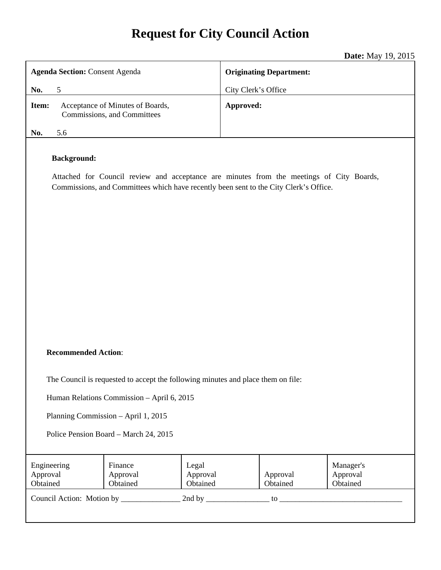# **Request for City Council Action**

**Date:** May 19, 2015

|                                                                                                                                                                                                         | <b>Date:</b> May $19, 2015$    |  |
|---------------------------------------------------------------------------------------------------------------------------------------------------------------------------------------------------------|--------------------------------|--|
| <b>Agenda Section: Consent Agenda</b>                                                                                                                                                                   | <b>Originating Department:</b> |  |
| No.<br>5                                                                                                                                                                                                | City Clerk's Office            |  |
| Acceptance of Minutes of Boards,<br>Item:<br>Commissions, and Committees                                                                                                                                | Approved:                      |  |
| 5.6<br>No.                                                                                                                                                                                              |                                |  |
| <b>Background:</b><br>Attached for Council review and acceptance are minutes from the meetings of City Boards,<br>Commissions, and Committees which have recently been sent to the City Clerk's Office. |                                |  |

#### **Recommended Action**:

The Council is requested to accept the following minutes and place them on file:

Human Relations Commission – April 6, 2015

Planning Commission – April 1, 2015

Police Pension Board – March 24, 2015

| Engineering<br>Approval<br>Obtained | Finance<br>Approval<br>Obtained | Legal<br>Approval<br>Obtained | Approval<br>Obtained | Manager's<br>Approval<br>Obtained |
|-------------------------------------|---------------------------------|-------------------------------|----------------------|-----------------------------------|
| Council Action: Motion by           |                                 | 2nd by                        | to                   |                                   |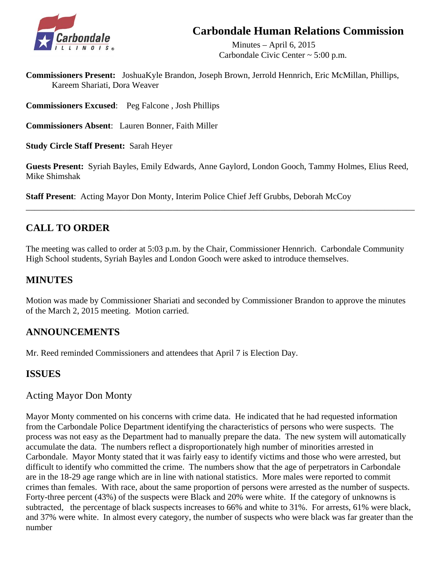# **Carbondale Human Relations Commission**



 Minutes – April 6, 2015 Carbondale Civic Center ~ 5:00 p.m.

**Commissioners Present:** JoshuaKyle Brandon, Joseph Brown, Jerrold Hennrich, Eric McMillan, Phillips, Kareem Shariati, Dora Weaver

**Commissioners Excused**: Peg Falcone , Josh Phillips

**Commissioners Absent**: Lauren Bonner, Faith Miller

**Study Circle Staff Present:** Sarah Heyer

**Guests Present:** Syriah Bayles, Emily Edwards, Anne Gaylord, London Gooch, Tammy Holmes, Elius Reed, Mike Shimshak

\_\_\_\_\_\_\_\_\_\_\_\_\_\_\_\_\_\_\_\_\_\_\_\_\_\_\_\_\_\_\_\_\_\_\_\_\_\_\_\_\_\_\_\_\_\_\_\_\_\_\_\_\_\_\_\_\_\_\_\_\_\_\_\_\_\_\_\_\_\_\_\_\_\_\_\_\_\_\_\_\_\_\_\_\_\_\_\_\_\_

**Staff Present**: Acting Mayor Don Monty, Interim Police Chief Jeff Grubbs, Deborah McCoy

# **CALL TO ORDER**

The meeting was called to order at 5:03 p.m. by the Chair, Commissioner Hennrich. Carbondale Community High School students, Syriah Bayles and London Gooch were asked to introduce themselves.

# **MINUTES**

Motion was made by Commissioner Shariati and seconded by Commissioner Brandon to approve the minutes of the March 2, 2015 meeting. Motion carried.

# **ANNOUNCEMENTS**

Mr. Reed reminded Commissioners and attendees that April 7 is Election Day.

### **ISSUES**

### Acting Mayor Don Monty

 Mayor Monty commented on his concerns with crime data. He indicated that he had requested information from the Carbondale Police Department identifying the characteristics of persons who were suspects. The process was not easy as the Department had to manually prepare the data. The new system will automatically accumulate the data. The numbers reflect a disproportionately high number of minorities arrested in Carbondale. Mayor Monty stated that it was fairly easy to identify victims and those who were arrested, but difficult to identify who committed the crime. The numbers show that the age of perpetrators in Carbondale are in the 18-29 age range which are in line with national statistics. More males were reported to commit crimes than females. With race, about the same proportion of persons were arrested as the number of suspects. Forty-three percent (43%) of the suspects were Black and 20% were white. If the category of unknowns is subtracted, the percentage of black suspects increases to 66% and white to 31%. For arrests, 61% were black, and 37% were white. In almost every category, the number of suspects who were black was far greater than the number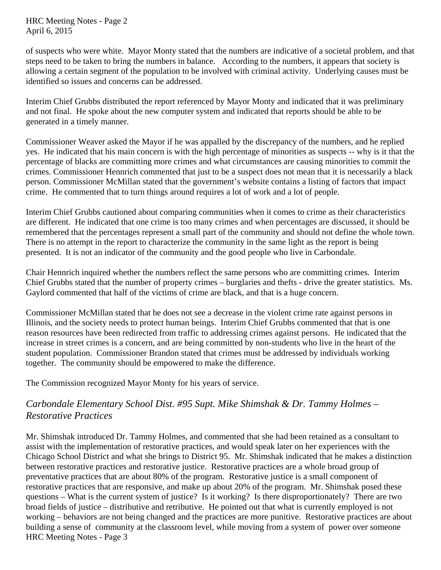HRC Meeting Notes - Page 2 April 6, 2015

 of suspects who were white. Mayor Monty stated that the numbers are indicative of a societal problem, and that steps need to be taken to bring the numbers in balance. According to the numbers, it appears that society is allowing a certain segment of the population to be involved with criminal activity. Underlying causes must be identified so issues and concerns can be addressed.

 Interim Chief Grubbs distributed the report referenced by Mayor Monty and indicated that it was preliminary and not final. He spoke about the new computer system and indicated that reports should be able to be generated in a timely manner.

 Commissioner Weaver asked the Mayor if he was appalled by the discrepancy of the numbers, and he replied yes. He indicated that his main concern is with the high percentage of minorities as suspects -- why is it that the percentage of blacks are committing more crimes and what circumstances are causing minorities to commit the crimes. Commissioner Hennrich commented that just to be a suspect does not mean that it is necessarily a black person. Commissioner McMillan stated that the government's website contains a listing of factors that impact crime. He commented that to turn things around requires a lot of work and a lot of people.

 Interim Chief Grubbs cautioned about comparing communities when it comes to crime as their characteristics are different. He indicated that one crime is too many crimes and when percentages are discussed, it should be remembered that the percentages represent a small part of the community and should not define the whole town. There is no attempt in the report to characterize the community in the same light as the report is being presented. It is not an indicator of the community and the good people who live in Carbondale.

 Chair Hennrich inquired whether the numbers reflect the same persons who are committing crimes. Interim Chief Grubbs stated that the number of property crimes – burglaries and thefts - drive the greater statistics. Ms. Gaylord commented that half of the victims of crime are black, and that is a huge concern.

 Commissioner McMillan stated that he does not see a decrease in the violent crime rate against persons in Illinois, and the society needs to protect human beings. Interim Chief Grubbs commented that that is one reason resources have been redirected from traffic to addressing crimes against persons. He indicated that the increase in street crimes is a concern, and are being committed by non-students who live in the heart of the student population. Commissioner Brandon stated that crimes must be addressed by individuals working together. The community should be empowered to make the difference.

The Commission recognized Mayor Monty for his years of service.

# *Carbondale Elementary School Dist. #95 Supt. Mike Shimshak & Dr. Tammy Holmes – Restorative Practices*

Mr. Shimshak introduced Dr. Tammy Holmes, and commented that she had been retained as a consultant to assist with the implementation of restorative practices, and would speak later on her experiences with the Chicago School District and what she brings to District 95. Mr. Shimshak indicated that he makes a distinction between restorative practices and restorative justice. Restorative practices are a whole broad group of preventative practices that are about 80% of the program. Restorative justice is a small component of restorative practices that are responsive, and make up about 20% of the program. Mr. Shimshak posed these questions – What is the current system of justice? Is it working? Is there disproportionately? There are two broad fields of justice – distributive and retributive. He pointed out that what is currently employed is not working – behaviors are not being changed and the practices are more punitive. Restorative practices are about building a sense of community at the classroom level, while moving from a system of power over someone HRC Meeting Notes - Page 3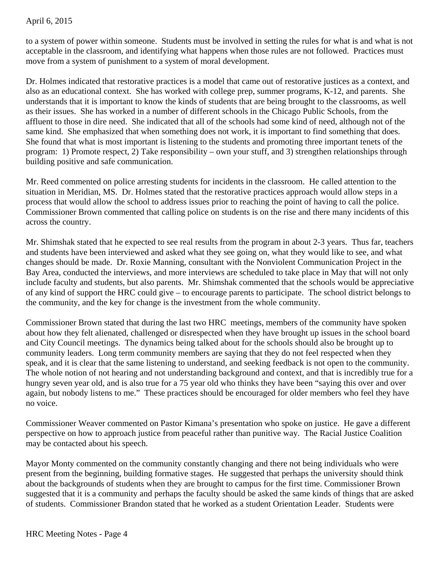#### April 6, 2015

to a system of power within someone. Students must be involved in setting the rules for what is and what is not acceptable in the classroom, and identifying what happens when those rules are not followed. Practices must move from a system of punishment to a system of moral development.

Dr. Holmes indicated that restorative practices is a model that came out of restorative justices as a context, and also as an educational context. She has worked with college prep, summer programs, K-12, and parents. She understands that it is important to know the kinds of students that are being brought to the classrooms, as well as their issues. She has worked in a number of different schools in the Chicago Public Schools, from the affluent to those in dire need. She indicated that all of the schools had some kind of need, although not of the same kind. She emphasized that when something does not work, it is important to find something that does. She found that what is most important is listening to the students and promoting three important tenets of the program: 1) Promote respect, 2) Take responsibility – own your stuff, and 3) strengthen relationships through building positive and safe communication.

Mr. Reed commented on police arresting students for incidents in the classroom. He called attention to the situation in Meridian, MS. Dr. Holmes stated that the restorative practices approach would allow steps in a process that would allow the school to address issues prior to reaching the point of having to call the police. Commissioner Brown commented that calling police on students is on the rise and there many incidents of this across the country.

Mr. Shimshak stated that he expected to see real results from the program in about 2-3 years. Thus far, teachers and students have been interviewed and asked what they see going on, what they would like to see, and what changes should be made. Dr. Roxie Manning, consultant with the Nonviolent Communication Project in the Bay Area, conducted the interviews, and more interviews are scheduled to take place in May that will not only include faculty and students, but also parents. Mr. Shimshak commented that the schools would be appreciative of any kind of support the HRC could give – to encourage parents to participate. The school district belongs to the community, and the key for change is the investment from the whole community.

Commissioner Brown stated that during the last two HRC meetings, members of the community have spoken about how they felt alienated, challenged or disrespected when they have brought up issues in the school board and City Council meetings. The dynamics being talked about for the schools should also be brought up to community leaders. Long term community members are saying that they do not feel respected when they speak, and it is clear that the same listening to understand, and seeking feedback is not open to the community. The whole notion of not hearing and not understanding background and context, and that is incredibly true for a hungry seven year old, and is also true for a 75 year old who thinks they have been "saying this over and over again, but nobody listens to me." These practices should be encouraged for older members who feel they have no voice.

Commissioner Weaver commented on Pastor Kimana's presentation who spoke on justice. He gave a different perspective on how to approach justice from peaceful rather than punitive way. The Racial Justice Coalition may be contacted about his speech.

Mayor Monty commented on the community constantly changing and there not being individuals who were present from the beginning, building formative stages. He suggested that perhaps the university should think about the backgrounds of students when they are brought to campus for the first time. Commissioner Brown suggested that it is a community and perhaps the faculty should be asked the same kinds of things that are asked of students. Commissioner Brandon stated that he worked as a student Orientation Leader. Students were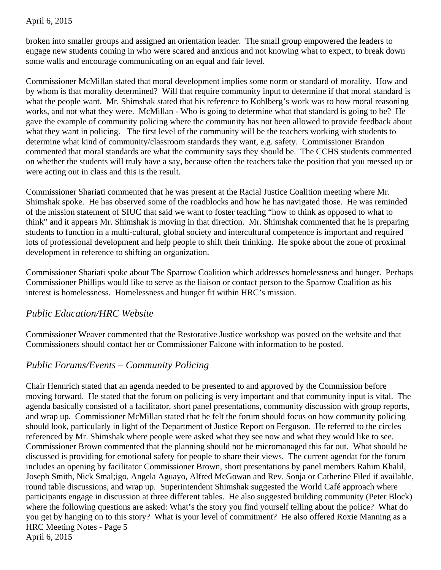#### April 6, 2015

broken into smaller groups and assigned an orientation leader. The small group empowered the leaders to engage new students coming in who were scared and anxious and not knowing what to expect, to break down some walls and encourage communicating on an equal and fair level.

Commissioner McMillan stated that moral development implies some norm or standard of morality. How and by whom is that morality determined? Will that require community input to determine if that moral standard is what the people want. Mr. Shimshak stated that his reference to Kohlberg's work was to how moral reasoning works, and not what they were. McMillan - Who is going to determine what that standard is going to be? He gave the example of community policing where the community has not been allowed to provide feedback about what they want in policing. The first level of the community will be the teachers working with students to determine what kind of community/classroom standards they want, e.g. safety. Commissioner Brandon commented that moral standards are what the community says they should be. The CCHS students commented on whether the students will truly have a say, because often the teachers take the position that you messed up or were acting out in class and this is the result.

Commissioner Shariati commented that he was present at the Racial Justice Coalition meeting where Mr. Shimshak spoke. He has observed some of the roadblocks and how he has navigated those. He was reminded of the mission statement of SIUC that said we want to foster teaching "how to think as opposed to what to think" and it appears Mr. Shimshak is moving in that direction. Mr. Shimshak commented that he is preparing students to function in a multi-cultural, global society and intercultural competence is important and required lots of professional development and help people to shift their thinking. He spoke about the zone of proximal development in reference to shifting an organization.

Commissioner Shariati spoke about The Sparrow Coalition which addresses homelessness and hunger. Perhaps Commissioner Phillips would like to serve as the liaison or contact person to the Sparrow Coalition as his interest is homelessness. Homelessness and hunger fit within HRC's mission.

### *Public Education/HRC Website*

Commissioner Weaver commented that the Restorative Justice workshop was posted on the website and that Commissioners should contact her or Commissioner Falcone with information to be posted.

# *Public Forums/Events – Community Policing*

Chair Hennrich stated that an agenda needed to be presented to and approved by the Commission before moving forward. He stated that the forum on policing is very important and that community input is vital. The agenda basically consisted of a facilitator, short panel presentations, community discussion with group reports, and wrap up. Commissioner McMillan stated that he felt the forum should focus on how community policing should look, particularly in light of the Department of Justice Report on Ferguson. He referred to the circles referenced by Mr. Shimshak where people were asked what they see now and what they would like to see. Commissioner Brown commented that the planning should not be micromanaged this far out. What should be discussed is providing for emotional safety for people to share their views. The current agendat for the forum includes an opening by facilitator Commissioner Brown, short presentations by panel members Rahim Khalil, Joseph Smith, Nick Smal;igo, Angela Aguayo, Alfred McGowan and Rev. Sonja or Catherine Filed if available, round table discussions, and wrap up. Superintendent Shimshak suggested the World Café approach where participants engage in discussion at three different tables. He also suggested building community (Peter Block) where the following questions are asked: What's the story you find yourself telling about the police? What do you get by hanging on to this story? What is your level of commitment? He also offered Roxie Manning as a HRC Meeting Notes - Page 5 April 6, 2015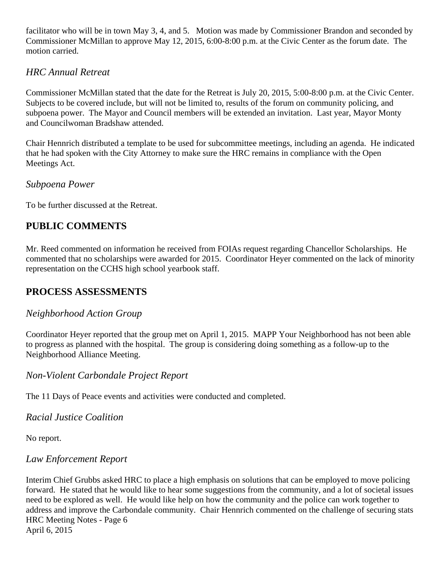facilitator who will be in town May 3, 4, and 5. Motion was made by Commissioner Brandon and seconded by Commissioner McMillan to approve May 12, 2015, 6:00-8:00 p.m. at the Civic Center as the forum date. The motion carried.

# *HRC Annual Retreat*

Commissioner McMillan stated that the date for the Retreat is July 20, 2015, 5:00-8:00 p.m. at the Civic Center. Subjects to be covered include, but will not be limited to, results of the forum on community policing, and subpoena power. The Mayor and Council members will be extended an invitation. Last year, Mayor Monty and Councilwoman Bradshaw attended.

Chair Hennrich distributed a template to be used for subcommittee meetings, including an agenda. He indicated that he had spoken with the City Attorney to make sure the HRC remains in compliance with the Open Meetings Act.

### *Subpoena Power*

To be further discussed at the Retreat.

# **PUBLIC COMMENTS**

Mr. Reed commented on information he received from FOIAs request regarding Chancellor Scholarships. He commented that no scholarships were awarded for 2015. Coordinator Heyer commented on the lack of minority representation on the CCHS high school yearbook staff.

# **PROCESS ASSESSMENTS**

# *Neighborhood Action Group*

Coordinator Heyer reported that the group met on April 1, 2015. MAPP Your Neighborhood has not been able to progress as planned with the hospital. The group is considering doing something as a follow-up to the Neighborhood Alliance Meeting.

# *Non-Violent Carbondale Project Report*

The 11 Days of Peace events and activities were conducted and completed.

# *Racial Justice Coalition*

No report.

# *Law Enforcement Report*

Interim Chief Grubbs asked HRC to place a high emphasis on solutions that can be employed to move policing forward. He stated that he would like to hear some suggestions from the community, and a lot of societal issues need to be explored as well. He would like help on how the community and the police can work together to address and improve the Carbondale community. Chair Hennrich commented on the challenge of securing stats HRC Meeting Notes - Page 6 April 6, 2015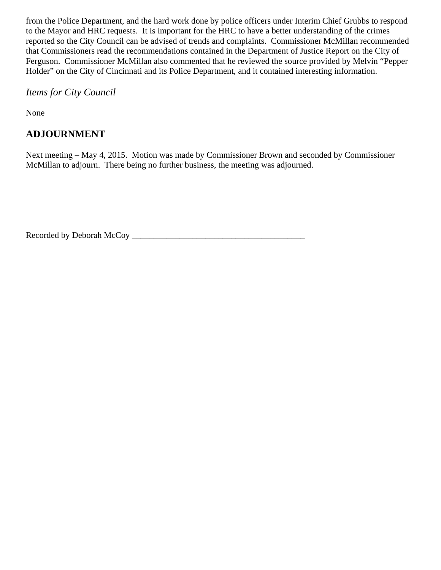from the Police Department, and the hard work done by police officers under Interim Chief Grubbs to respond to the Mayor and HRC requests. It is important for the HRC to have a better understanding of the crimes reported so the City Council can be advised of trends and complaints. Commissioner McMillan recommended that Commissioners read the recommendations contained in the Department of Justice Report on the City of Ferguson. Commissioner McMillan also commented that he reviewed the source provided by Melvin "Pepper Holder" on the City of Cincinnati and its Police Department, and it contained interesting information.

*Items for City Council* 

None

# **ADJOURNMENT**

Next meeting – May 4, 2015. Motion was made by Commissioner Brown and seconded by Commissioner McMillan to adjourn. There being no further business, the meeting was adjourned.

Recorded by Deborah McCoy \_\_\_\_\_\_\_\_\_\_\_\_\_\_\_\_\_\_\_\_\_\_\_\_\_\_\_\_\_\_\_\_\_\_\_\_\_\_\_\_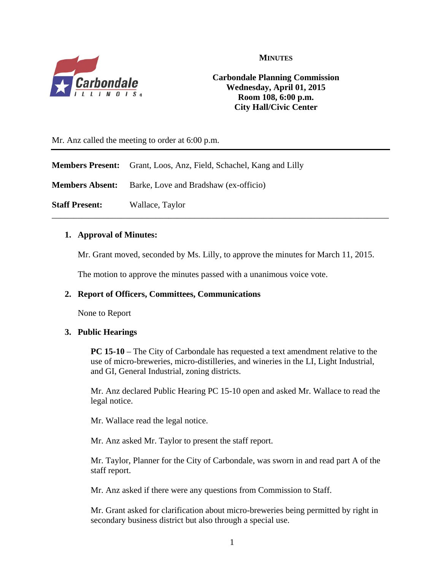

**MINUTES**

### **Carbondale Planning Commission Wednesday, April 01, 2015 Room 108, 6:00 p.m. City Hall/Civic Center**

Mr. Anz called the meeting to order at 6:00 p.m.

**Members Present:** Grant, Loos, Anz, Field, Schachel, Kang and Lilly

**Members Absent:** Barke, Love and Bradshaw (ex-officio)

**Staff Present:** Wallace, Taylor

#### **1. Approval of Minutes:**

Mr. Grant moved, seconded by Ms. Lilly, to approve the minutes for March 11, 2015.

\_\_\_\_\_\_\_\_\_\_\_\_\_\_\_\_\_\_\_\_\_\_\_\_\_\_\_\_\_\_\_\_\_\_\_\_\_\_\_\_\_\_\_\_\_\_\_\_\_\_\_\_\_\_\_\_\_\_\_\_\_\_\_\_\_\_\_\_\_\_\_\_\_\_\_\_\_\_

The motion to approve the minutes passed with a unanimous voice vote.

#### **2. Report of Officers, Committees, Communications**

None to Report

#### **3. Public Hearings**

**PC 15-10** – The City of Carbondale has requested a text amendment relative to the use of micro-breweries, micro-distilleries, and wineries in the LI, Light Industrial, and GI, General Industrial, zoning districts.

Mr. Anz declared Public Hearing PC 15-10 open and asked Mr. Wallace to read the legal notice.

Mr. Wallace read the legal notice.

Mr. Anz asked Mr. Taylor to present the staff report.

Mr. Taylor, Planner for the City of Carbondale, was sworn in and read part A of the staff report.

Mr. Anz asked if there were any questions from Commission to Staff.

Mr. Grant asked for clarification about micro-breweries being permitted by right in secondary business district but also through a special use.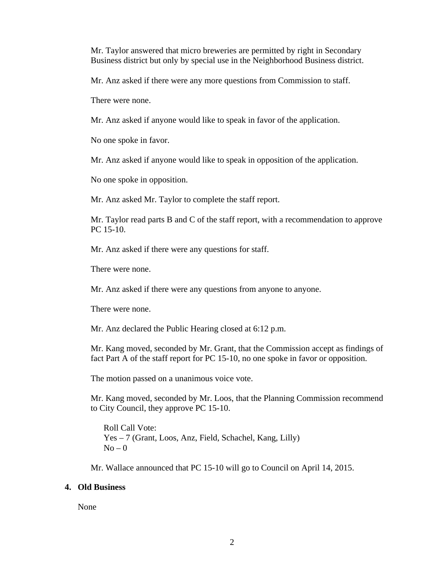Mr. Taylor answered that micro breweries are permitted by right in Secondary Business district but only by special use in the Neighborhood Business district.

Mr. Anz asked if there were any more questions from Commission to staff.

There were none.

Mr. Anz asked if anyone would like to speak in favor of the application.

No one spoke in favor.

Mr. Anz asked if anyone would like to speak in opposition of the application.

No one spoke in opposition.

Mr. Anz asked Mr. Taylor to complete the staff report.

Mr. Taylor read parts B and C of the staff report, with a recommendation to approve PC 15-10.

Mr. Anz asked if there were any questions for staff.

There were none.

Mr. Anz asked if there were any questions from anyone to anyone.

There were none.

Mr. Anz declared the Public Hearing closed at 6:12 p.m.

Mr. Kang moved, seconded by Mr. Grant, that the Commission accept as findings of fact Part A of the staff report for PC 15-10, no one spoke in favor or opposition.

The motion passed on a unanimous voice vote.

Mr. Kang moved, seconded by Mr. Loos, that the Planning Commission recommend to City Council, they approve PC 15-10.

Roll Call Vote: Yes – 7 (Grant, Loos, Anz, Field, Schachel, Kang, Lilly)  $No - 0$ 

Mr. Wallace announced that PC 15-10 will go to Council on April 14, 2015.

#### **4. Old Business**

None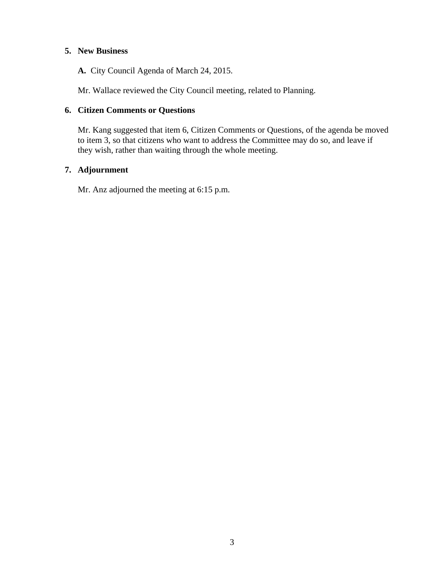#### **5. New Business**

**A.** City Council Agenda of March 24, 2015.

Mr. Wallace reviewed the City Council meeting, related to Planning.

#### **6. Citizen Comments or Questions**

Mr. Kang suggested that item 6, Citizen Comments or Questions, of the agenda be moved to item 3, so that citizens who want to address the Committee may do so, and leave if they wish, rather than waiting through the whole meeting.

#### **7. Adjournment**

Mr. Anz adjourned the meeting at 6:15 p.m.